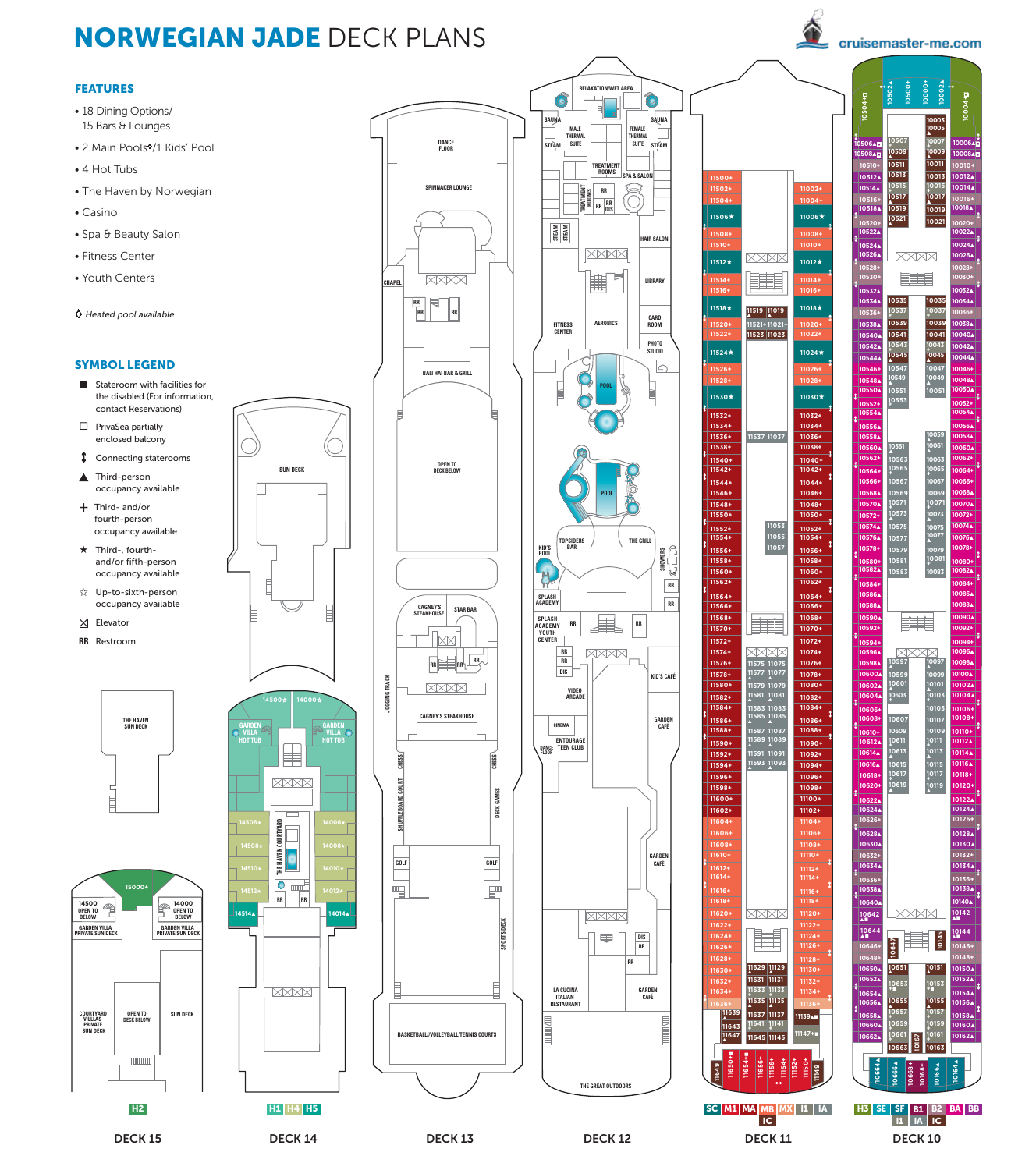# NORWEGIAN JADE DECK PLANS

cruisemaster-me.com

## FEATURES

- 18 Dining Options/ 15 Bars & Lounges
- 2 Main Pools<sup>\$</sup>/1 Kids' Pool
- 4 Hot Tubs
- The Haven by Norwegian
- Casino
- Spa & Beauty Salon
- Fitness Center
- Youth Centers
- *Heated pool available*

# SYMBOL LEGEND

- Stateroom with facilities for the disabled (For information, contact Reservations)  $\square$  PrivaSea partially
- enclosed balcony
- Connecting staterooms
- ▲ Third-person occupancy available
- + Third- and/or fourth-person **THE HAVEN SUN DECK** occupancy available
- $\star$  Third-, fourthand/or fifth-person occupancy available
- ✩ Up-to-sixth-person occupancy available
- $\boxtimes$  Elevator
- **RR** Restroom















**10167**

**10151** ▲

**10153 +**■ **10155** ▲ **10157 + 10159 + 10161 + 10163**

**10145**

XXXX

**10146+ 10148+ 10150**▲ **10152**▲ **10154**▲ **10156**▲ **10158**▲ **10160**▲ **10162**▲

**10118+ 10120+ 10122**▲ **10124**▲ **10126+ 10128**▲ **10130**▲ **10132+ 10134**▲ **10136+ 10138**▲ **10140**▲ **10142** ▲■ **10144** ▲■

**10651** ▲ **10647**

**10653 +**■ **10655 10657 + 10659 + 10661 + 10663**

**ENGINEERING** 

XMXX

**10597** ▲ **10599 10601** ▲ **10603 +**

**10571 + 10573** ▲ **10575**

**XXXX** 

**10007 + 10009** ▲ **10011**

**10006**▲¨ **10008**▲¨ **10010+ 10012**▲ **10014**▲ **10016+ 10018**▲ **10020+ 10022**▲ **10024**▲ **10026**▲ **10028+ 10030+ 10032**▲ **10034**▲ **10036+ 10038**▲ **10040**▲ **10042**▲ **10044**▲ **10046+ 10048**▲ **10050**▲ **10052+ 10054**▲ **10056**▲ **10058**▲ **10060**▲ **10062+ 10064+ 10066+ 10068**▲ **10070**▲ **10072+ 10074**▲ **10076**▲ **10078+ 10080+ 10082**▲ **10084+ 10086**▲ **10088**▲ **10090**▲ **10092+ 10094+ 10096**▲ **10098**▲ **10100**▲ **10102**▲ **10104**▲ **10106+ 10108+ 10110+ 10112**▲ **10114**▲ **10116**▲

**10004+**¨

**10003 10005** ▲

**10000+ 10002**▲

**10507 + 10509** ▲ **10511**

**10502**▲ **10500+**

 $\triangle$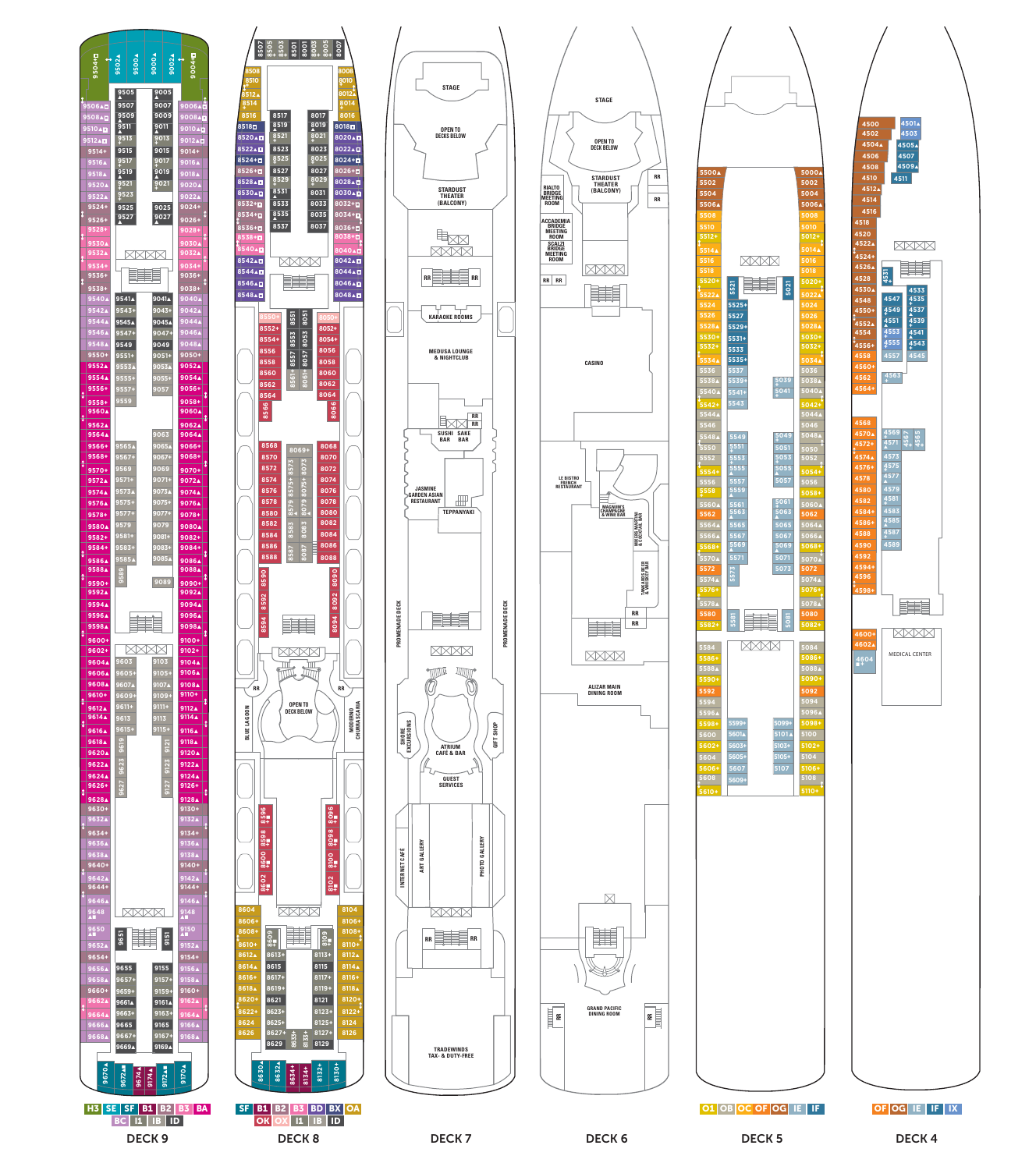











**4518**

**4522** ▲ **4524+ 4526** ▲ **4528 4530** ▲

**4550+ 4552** ▲ **4554 4556+ 4558 4560+ 4562 4564+**

**4592 4594+ 4596 4598+**

**4600+ 4602** ▲ **<sup>4604</sup>** ■ **<sup>+</sup>**

**MEDICAL CENTER**

H

**XXXX** 

**4548**<br> **4552▲**<br> **4552▲**<br> **4554**<br> **4556+**<br> **4558**<br> **4558**<br> **4558**<br> **4558** 

**4531 +** 

**4533 <sup>4535</sup> <sup>+</sup> <sup>4537</sup>** ▲ **<sup>4539</sup> <sup>+</sup> <sup>4541</sup>** ▲ **<sup>4543</sup> <sup>+</sup>**

XXXX

賱

**4545**

**<sup>4569</sup> <sup>+</sup> 4567 + 4565 +<sup>4571</sup>** ▲ **4573 <sup>4575</sup> <sup>+</sup> <sup>4577</sup>** ▲ **4579 <sup>4581</sup> <sup>+</sup> 4583 <sup>4585</sup>** ▲ **<sup>4587</sup> <sup>+</sup> 4589**

**<sup>4563</sup> <sup>+</sup>**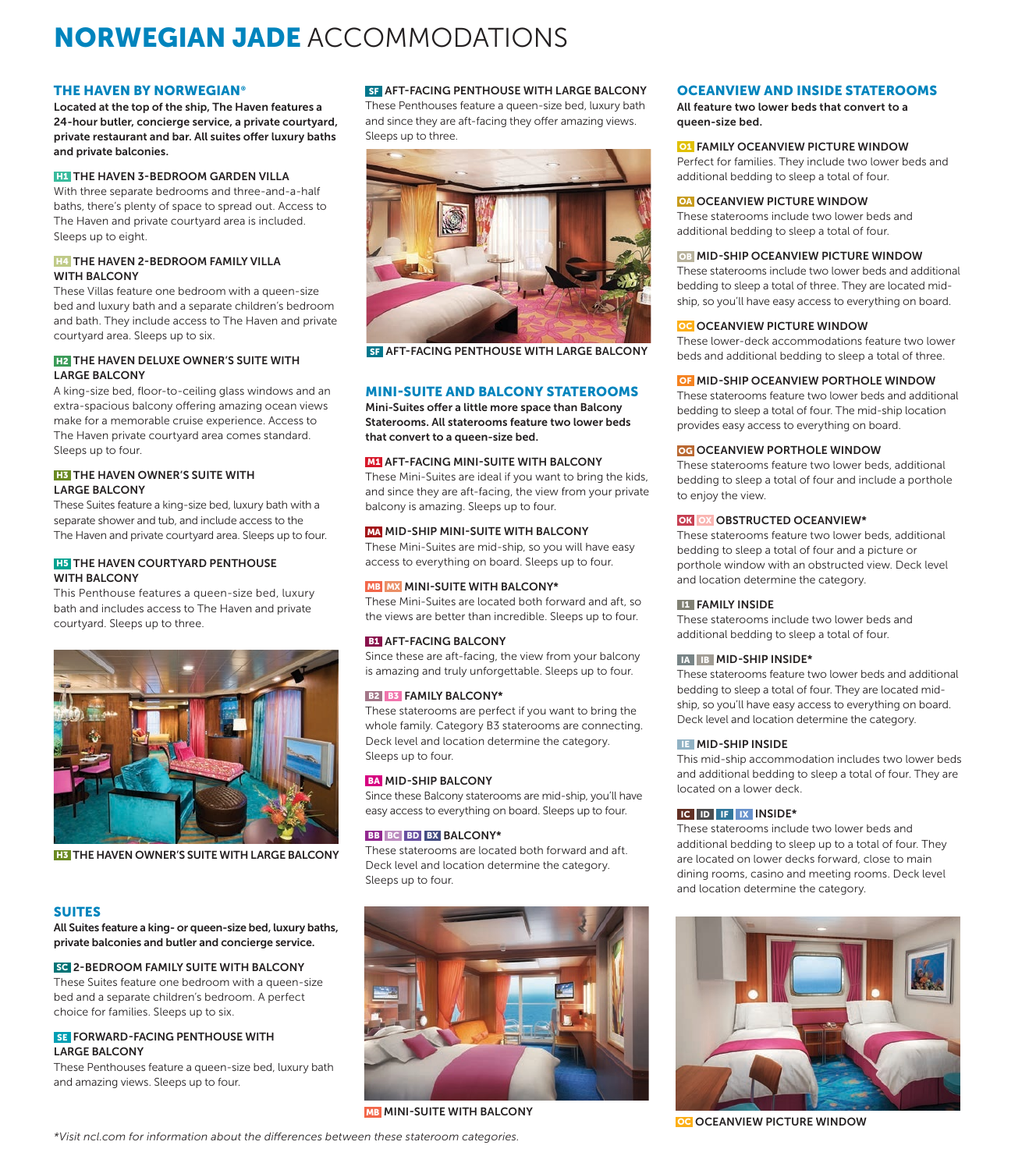# NORWEGIAN JADE ACCOMMODATIONS

#### THE HAVEN BY NORWEGIAN®

Located at the top of the ship, The Haven features a 24-hour butler, concierge service, a private courtyard, private restaurant and bar. All suites offer luxury baths and private balconies.

#### **H1 THE HAVEN 3-BEDROOM GARDEN VILLA**

With three separate bedrooms and three-and-a-half baths, there's plenty of space to spread out. Access to The Haven and private courtyard area is included. Sleeps up to eight.

#### **H4** THE HAVEN 2-BEDROOM FAMILY VILLA WITH BALCONY

These Villas feature one bedroom with a queen-size bed and luxury bath and a separate children's bedroom and bath. They include access to The Haven and private courtyard area. Sleeps up to six.

## **H2** THE HAVEN DELUXE OWNER'S SUITE WITH LARGE BALCONY

A king-size bed, floor-to-ceiling glass windows and an extra-spacious balcony offering amazing ocean views make for a memorable cruise experience. Access to The Haven private courtyard area comes standard. Sleeps up to four.

#### **H3** THE HAVEN OWNER'S SUITE WITH LARGE BALCONY

These Suites feature a king-size bed, luxury bath with a separate shower and tub, and include access to the The Haven and private courtyard area. Sleeps up to four.

## **H5** THE HAVEN COURTYARD PENTHOUSE WITH BALCONY

This Penthouse features a queen-size bed, luxury bath and includes access to The Haven and private courtyard. Sleeps up to three.



**H3** THE HAVEN OWNER'S SUITE WITH LARGE BALCONY

# SUITES

All Suites feature a king- or queen-size bed, luxury baths, private balconies and butler and concierge service.

# SC 2-BEDROOM FAMILY SUITE WITH BALCONY

These Suites feature one bedroom with a queen-size bed and a separate children's bedroom. A perfect choice for families. Sleeps up to six.

#### **SE FORWARD-FACING PENTHOUSE WITH** LARGE BALCONY

These Penthouses feature a queen-size bed, luxury bath and amazing views. Sleeps up to four.

**SF** AFT-FACING PENTHOUSE WITH LARGE BALCONY

These Penthouses feature a queen-size bed, luxury bath and since they are aft-facing they offer amazing views. Sleeps up to three.



**SF AFT-FACING PENTHOUSE WITH LARGE BALCONY** 

# MINI-SUITE AND BALCONY STATEROOMS

Mini-Suites offer a little more space than Balcony Staterooms. All staterooms feature two lower beds that convert to a queen-size bed.

# **M1** AFT-FACING MINI-SUITE WITH BALCONY

These Mini-Suites are ideal if you want to bring the kids, and since they are aft-facing, the view from your private balcony is amazing. Sleeps up to four.

## MA MID-SHIP MINI-SUITE WITH BALCONY

These Mini-Suites are mid-ship, so you will have easy access to everything on board. Sleeps up to four.

#### **MB MX MINI-SUITE WITH BALCONY\***

These Mini-Suites are located both forward and aft, so the views are better than incredible. Sleeps up to four.

#### **B1** AFT-FACING BALCONY

Since these are aft-facing, the view from your balcony is amazing and truly unforgettable. Sleeps up to four.

## B<sub>2</sub> B<sub>3</sub> FAMILY BALCONY\*

These staterooms are perfect if you want to bring the whole family. Category B3 staterooms are connecting. Deck level and location determine the category. Sleeps up to four.

## **BA MID-SHIP BALCONY**

Since these Balcony staterooms are mid-ship, you'll have easy access to everything on board. Sleeps up to four.

## BB BC BD BX BALCONY\*

These staterooms are located both forward and aft. Deck level and location determine the category. Sleeps up to four.



**MB** MINI-SUITE WITH BALCONY

# OCEANVIEW AND INSIDE STATEROOMS

All feature two lower beds that convert to a queen-size bed.

#### O1 FAMILY OCEANVIEW PICTURE WINDOW

Perfect for families. They include two lower beds and additional bedding to sleep a total of four.

OA OCEANVIEW PICTURE WINDOW

These staterooms include two lower beds and additional bedding to sleep a total of four.

#### **OB MID-SHIP OCEANVIEW PICTURE WINDOW**

These staterooms include two lower beds and additional bedding to sleep a total of three. They are located midship, so you'll have easy access to everything on board.

#### **OCEANVIEW PICTURE WINDOW**

These lower-deck accommodations feature two lower beds and additional bedding to sleep a total of three.

#### **OF MID-SHIP OCEANVIEW PORTHOLE WINDOW**

These staterooms feature two lower beds and additional bedding to sleep a total of four. The mid-ship location provides easy access to everything on board.

## OG OCEANVIEW PORTHOLE WINDOW

These staterooms feature two lower beds, additional bedding to sleep a total of four and include a porthole to enjoy the view.

#### OK OX OBSTRUCTED OCEANVIEW\*

These staterooms feature two lower beds, additional bedding to sleep a total of four and a picture or porthole window with an obstructed view. Deck level and location determine the category.

## **IN FAMILY INSIDE**

These staterooms include two lower beds and additional bedding to sleep a total of four.

## IA IB MID-SHIP INSIDE\*

These staterooms feature two lower beds and additional bedding to sleep a total of four. They are located midship, so you'll have easy access to everything on board. Deck level and location determine the category.

## IE MID-SHIP INSIDE

This mid-ship accommodation includes two lower beds and additional bedding to sleep a total of four. They are located on a lower deck.

## IC ID IF IX INSIDE\*

These staterooms include two lower beds and additional bedding to sleep up to a total of four. They are located on lower decks forward, close to main dining rooms, casino and meeting rooms. Deck level and location determine the category.



**OC OCEANVIEW PICTURE WINDOW**